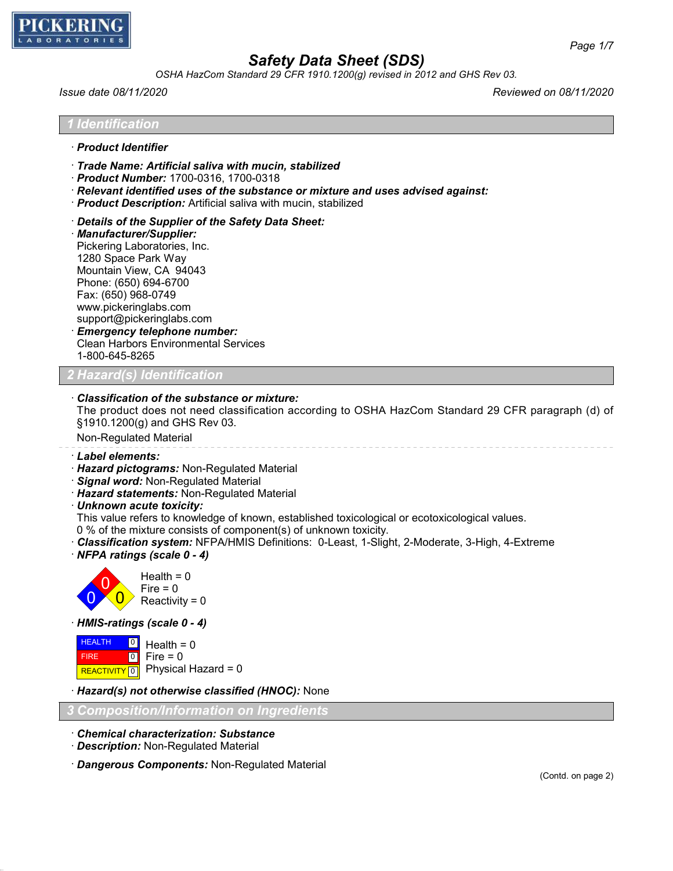

*OSHA HazCom Standard 29 CFR 1910.1200(g) revised in 2012 and GHS Rev 03.*

*Issue date 08/11/2020 Reviewed on 08/11/2020*

*1 Identification*

- · *Product Identifier*
- · *Trade Name: Artificial saliva with mucin, stabilized*
- · *Product Number:* 1700-0316, 1700-0318
- · *Relevant identified uses of the substance or mixture and uses advised against:*
- · *Product Description:* Artificial saliva with mucin, stabilized
- · *Details of the Supplier of the Safety Data Sheet:*
- · *Manufacturer/Supplier:* Pickering Laboratories, Inc. 1280 Space Park Way Mountain View, CA 94043 Phone: (650) 694-6700 Fax: (650) 968-0749 www.pickeringlabs.com support@pickeringlabs.com · *Emergency telephone number:*
- Clean Harbors Environmental Services 1-800-645-8265

*Hazard(s) Identifica* 

### · *Classification of the substance or mixture:*

The product does not need classification according to OSHA HazCom Standard 29 CFR paragraph (d) of §1910.1200(g) and GHS Rev 03.

Non-Regulated Material

- · *Label elements:*
- · *Hazard pictograms:* Non-Regulated Material
- · *Signal word:* Non-Regulated Material
- · *Hazard statements:* Non-Regulated Material
- · *Unknown acute toxicity:*

This value refers to knowledge of known, established toxicological or ecotoxicological values.

- 0 % of the mixture consists of component(s) of unknown toxicity.
- · *Classification system:* NFPA/HMIS Definitions: 0-Least, 1-Slight, 2-Moderate, 3-High, 4-Extreme
- · *NFPA ratings (scale 0 4)*



· *HMIS-ratings (scale 0 - 4)*

**HEALTH**  FIRE REACTIVITY 0 Physical Hazard = 0  $\overline{\phantom{0}}$  $\boxed{0}$ Health  $= 0$ Fire  $= 0$ 

· *Hazard(s) not otherwise classified (HNOC):* None

*3 Composition/Information on Ingredients*

- · *Chemical characterization: Substance*
- · *Description:* Non-Regulated Material
- · *Dangerous Components:* Non-Regulated Material

*Page 1/7*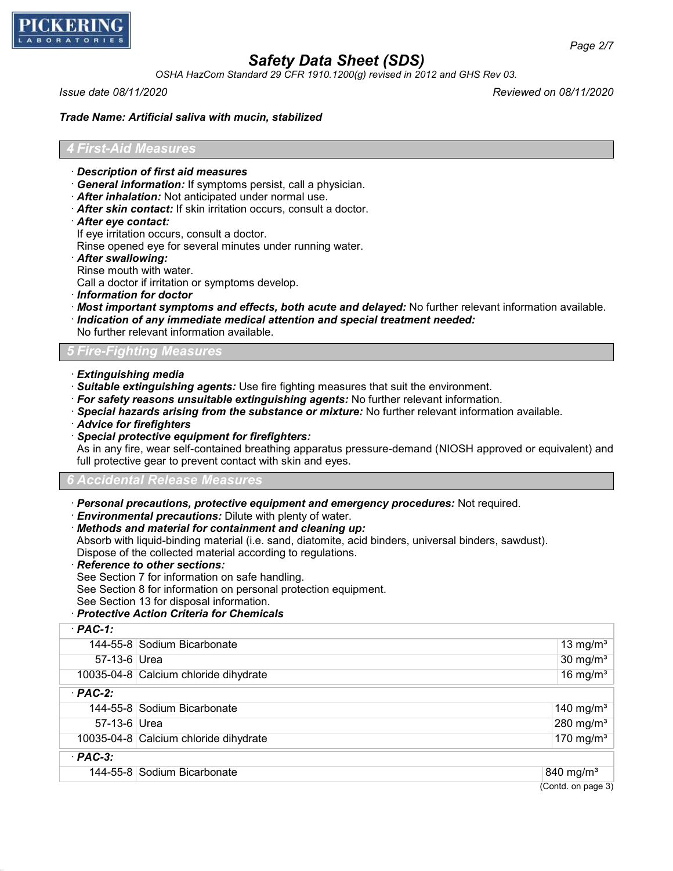

*OSHA HazCom Standard 29 CFR 1910.1200(g) revised in 2012 and GHS Rev 03.*

*Issue date 08/11/2020 Reviewed on 08/11/2020*

*Page 2/7*

#### *Trade Name: Artificial saliva with mucin, stabilized*

#### *4 First-Aid Measures*

- · *Description of first aid measures*
- · *General information:* If symptoms persist, call a physician.
- · *After inhalation:* Not anticipated under normal use.
- · *After skin contact:* If skin irritation occurs, consult a doctor.
- · *After eye contact:*
- If eye irritation occurs, consult a doctor.

Rinse opened eye for several minutes under running water.

- · *After swallowing:*
- Rinse mouth with water.

Call a doctor if irritation or symptoms develop.

- · *Information for doctor*
- · *Most important symptoms and effects, both acute and delayed:* No further relevant information available.
- · *Indication of any immediate medical attention and special treatment needed:*

No further relevant information available.

### *5 Fire-Fighting Measures*

- · *Extinguishing media*
- · *Suitable extinguishing agents:* Use fire fighting measures that suit the environment.
- · *For safety reasons unsuitable extinguishing agents:* No further relevant information.
- · *Special hazards arising from the substance or mixture:* No further relevant information available.
- · *Advice for firefighters*
- · *Special protective equipment for firefighters:*

As in any fire, wear self-contained breathing apparatus pressure-demand (NIOSH approved or equivalent) and full protective gear to prevent contact with skin and eyes.

#### *6 Accidental Release Measures*

- · *Personal precautions, protective equipment and emergency procedures:* Not required.
- · *Environmental precautions:* Dilute with plenty of water.
- · *Methods and material for containment and cleaning up:*
- Absorb with liquid-binding material (i.e. sand, diatomite, acid binders, universal binders, sawdust).

Dispose of the collected material according to regulations.

- · *Reference to other sections:*
- See Section 7 for information on safe handling.

See Section 8 for information on personal protection equipment.

See Section 13 for disposal information.

### · *Protective Action Criteria for Chemicals*

| $·$ PAC-1:   |                                       |                       |
|--------------|---------------------------------------|-----------------------|
|              | 144-55-8 Sodium Bicarbonate           | 13 mg/m <sup>3</sup>  |
| 57-13-6 Urea |                                       | $30 \text{ mg/m}^3$   |
|              | 10035-04-8 Calcium chloride dihydrate | 16 mg/m <sup>3</sup>  |
| $·$ PAC-2:   |                                       |                       |
|              | 144-55-8 Sodium Bicarbonate           | 140 mg/m <sup>3</sup> |
| 57-13-6 Urea |                                       | 280 mg/m <sup>3</sup> |
|              | 10035-04-8 Calcium chloride dihydrate | 170 mg/m $3$          |
| $·$ PAC-3:   |                                       |                       |
|              | 144-55-8 Sodium Bicarbonate           | 840 mg/m <sup>3</sup> |
|              |                                       | (Contd. on page 3)    |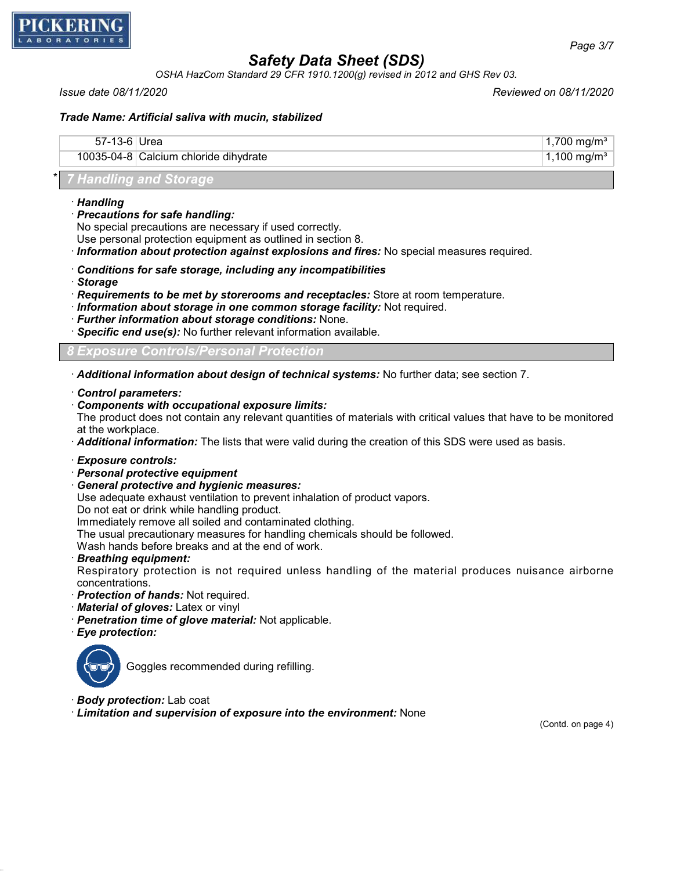

*OSHA HazCom Standard 29 CFR 1910.1200(g) revised in 2012 and GHS Rev 03.*

*Issue date 08/11/2020 Reviewed on 08/11/2020*

## *Trade Name: Artificial saliva with mucin, stabilized*

| $57-13-6$ | Urea                                  | 1,700 mg/m <sup>3</sup> |
|-----------|---------------------------------------|-------------------------|
|           | 10035-04-8 Calcium chloride dihydrate | ⊺1,100 mg/mª            |
|           |                                       |                         |

## \* *7 Handling and Storage*

- · *Handling*
- · *Precautions for safe handling:*

No special precautions are necessary if used correctly. Use personal protection equipment as outlined in section 8.

· *Information about protection against explosions and fires:* No special measures required.

- · *Conditions for safe storage, including any incompatibilities*
- · *Storage*
- · *Requirements to be met by storerooms and receptacles:* Store at room temperature.
- · *Information about storage in one common storage facility:* Not required.
- · *Further information about storage conditions:* None.
- · *Specific end use(s):* No further relevant information available.

## *8 Exposure Controls/Personal Protection*

· *Additional information about design of technical systems:* No further data; see section 7.

#### · *Control parameters:*

· *Components with occupational exposure limits:*

The product does not contain any relevant quantities of materials with critical values that have to be monitored at the workplace.

· *Additional information:* The lists that were valid during the creation of this SDS were used as basis.

#### · *Exposure controls:*

- · *Personal protective equipment*
- · *General protective and hygienic measures:*

Use adequate exhaust ventilation to prevent inhalation of product vapors.

Do not eat or drink while handling product.

Immediately remove all soiled and contaminated clothing.

The usual precautionary measures for handling chemicals should be followed.

Wash hands before breaks and at the end of work.

· *Breathing equipment:*

Respiratory protection is not required unless handling of the material produces nuisance airborne concentrations.

- · *Protection of hands:* Not required.
- · *Material of gloves:* Latex or vinyl
- · *Penetration time of glove material:* Not applicable.
- · *Eye protection:*



Goggles recommended during refilling.

- · *Body protection:* Lab coat
- · *Limitation and supervision of exposure into the environment:* None

(Contd. on page 4)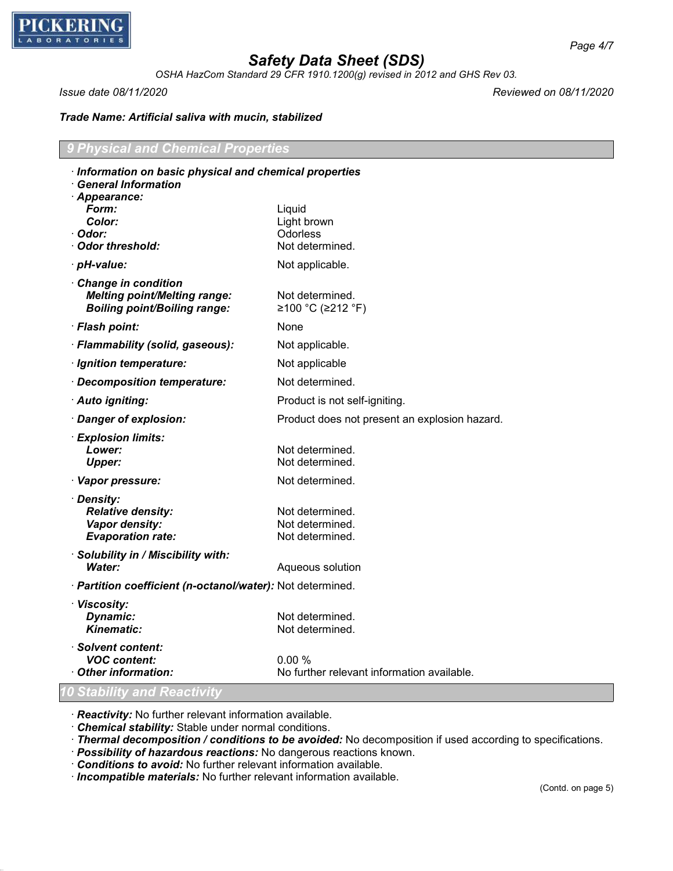

*OSHA HazCom Standard 29 CFR 1910.1200(g) revised in 2012 and GHS Rev 03.*

*Issue date 08/11/2020 Reviewed on 08/11/2020*

## *Trade Name: Artificial saliva with mucin, stabilized*

| 9 Physical and Chemical Properties |  |
|------------------------------------|--|
|                                    |  |

| · Information on basic physical and chemical properties<br><b>General Information</b>             |                                                       |
|---------------------------------------------------------------------------------------------------|-------------------------------------------------------|
| · Appearance:<br>Form:<br>Color:<br>· Odor:<br><b>Odor threshold:</b>                             | Liquid<br>Light brown<br>Odorless<br>Not determined.  |
| · pH-value:                                                                                       | Not applicable.                                       |
| Change in condition<br><b>Melting point/Melting range:</b><br><b>Boiling point/Boiling range:</b> | Not determined.<br>≥100 °C (≥212 °F)                  |
| · Flash point:                                                                                    | None                                                  |
| · Flammability (solid, gaseous):                                                                  | Not applicable.                                       |
| · Ignition temperature:                                                                           | Not applicable                                        |
| Decomposition temperature:                                                                        | Not determined.                                       |
| · Auto igniting:                                                                                  | Product is not self-igniting.                         |
| · Danger of explosion:                                                                            | Product does not present an explosion hazard.         |
| · Explosion limits:<br>Lower:<br><b>Upper:</b>                                                    | Not determined.<br>Not determined.                    |
| · Vapor pressure:                                                                                 | Not determined.                                       |
| · Density:<br><b>Relative density:</b><br>Vapor density:<br><b>Evaporation rate:</b>              | Not determined.<br>Not determined.<br>Not determined. |
| · Solubility in / Miscibility with:<br><b>Water:</b>                                              | Aqueous solution                                      |
| · Partition coefficient (n-octanol/water): Not determined.                                        |                                                       |
| · Viscosity:<br>Dynamic:<br><b>Kinematic:</b>                                                     | Not determined.<br>Not determined.                    |
| · Solvent content:<br><b>VOC content:</b><br>Other information:                                   | 0.00%<br>No further relevant information available.   |
| 10 Stability and Reactivity                                                                       |                                                       |

· *Reactivity:* No further relevant information available.

· *Chemical stability:* Stable under normal conditions.

· *Thermal decomposition / conditions to be avoided:* No decomposition if used according to specifications.

- · *Possibility of hazardous reactions:* No dangerous reactions known.
- · *Conditions to avoid:* No further relevant information available.

· *Incompatible materials:* No further relevant information available.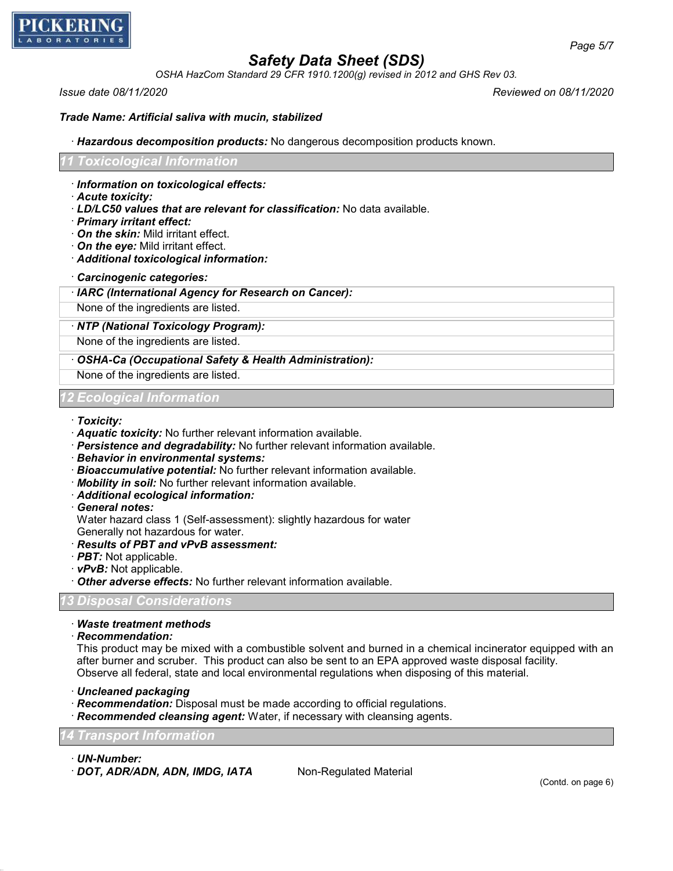

*OSHA HazCom Standard 29 CFR 1910.1200(g) revised in 2012 and GHS Rev 03.*

*Issue date 08/11/2020 Reviewed on 08/11/2020*

*Page 5/7*

#### *Trade Name: Artificial saliva with mucin, stabilized*

· *Hazardous decomposition products:* No dangerous decomposition products known.

#### *11 Toxicological Information*

- · *Information on toxicological effects:*
- · *Acute toxicity:*
- · *LD/LC50 values that are relevant for classification:* No data available.
- · *Primary irritant effect:*
- · *On the skin:* Mild irritant effect.
- · *On the eye:* Mild irritant effect.
- · *Additional toxicological information:*
- · *Carcinogenic categories:*

#### · *IARC (International Agency for Research on Cancer):*

None of the ingredients are listed.

### · *NTP (National Toxicology Program):*

None of the ingredients are listed.

### · *OSHA-Ca (Occupational Safety & Health Administration):*

None of the ingredients are listed.

#### *12 Ecological Information*

- · *Toxicity:*
- · *Aquatic toxicity:* No further relevant information available.
- · *Persistence and degradability:* No further relevant information available.
- · *Behavior in environmental systems:*
- · *Bioaccumulative potential:* No further relevant information available.
- · *Mobility in soil:* No further relevant information available.
- · *Additional ecological information:*

#### · *General notes:*

Water hazard class 1 (Self-assessment): slightly hazardous for water

Generally not hazardous for water.

## · *Results of PBT and vPvB assessment:*

- · *PBT:* Not applicable.
- · *vPvB:* Not applicable.
- · *Other adverse effects:* No further relevant information available.

## *13 Disposal Considerations*

### · *Waste treatment methods*

· *Recommendation:*

This product may be mixed with a combustible solvent and burned in a chemical incinerator equipped with an after burner and scruber. This product can also be sent to an EPA approved waste disposal facility. Observe all federal, state and local environmental regulations when disposing of this material.

- · *Uncleaned packaging*
- · *Recommendation:* Disposal must be made according to official regulations.
- · *Recommended cleansing agent:* Water, if necessary with cleansing agents.

## *14 Transport Information*

· *UN-Number:*

· **DOT, ADR/ADN, ADN, IMDG, IATA** Non-Regulated Material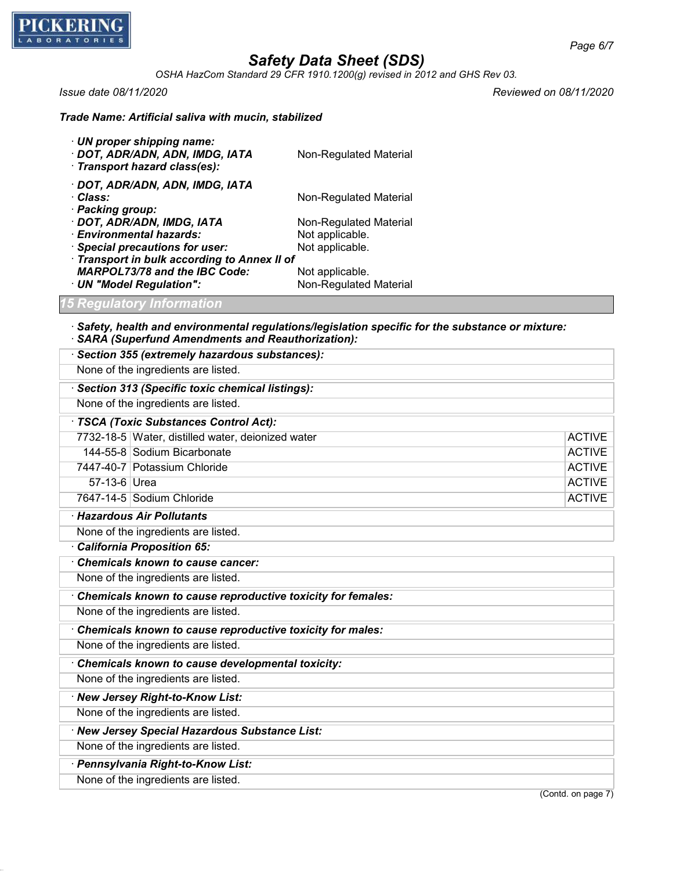

*OSHA HazCom Standard 29 CFR 1910.1200(g) revised in 2012 and GHS Rev 03.*

*Issue date 08/11/2020 Reviewed on 08/11/2020*

| $\cdot$ UN proper shipping name:<br>· DOT, ADR/ADN, ADN, IMDG, IATA<br>· Transport hazard class(es): | Non-Regulated Material |  |
|------------------------------------------------------------------------------------------------------|------------------------|--|
| · DOT, ADR/ADN, ADN, IMDG, IATA                                                                      |                        |  |
| · Class:                                                                                             | Non-Regulated Material |  |
| · Packing group:                                                                                     |                        |  |
| · DOT, ADR/ADN, IMDG, IATA                                                                           | Non-Regulated Material |  |
| · Environmental hazards:                                                                             | Not applicable.        |  |
| · Special precautions for user:                                                                      | Not applicable.        |  |
| · Transport in bulk according to Annex II of                                                         |                        |  |
| <b>MARPOL73/78 and the IBC Code:</b>                                                                 | Not applicable.        |  |
| · UN "Model Regulation":                                                                             | Non-Regulated Material |  |

*Trade Name: Artificial saliva with mucin, stabilized*

## *15 Regulatory Information*

#### · *Safety, health and environmental regulations/legislation specific for the substance or mixture:* · *SARA (Superfund Amendments and Reauthorization):*

| · Section 355 (extremely hazardous substances):             |                    |
|-------------------------------------------------------------|--------------------|
| None of the ingredients are listed.                         |                    |
| · Section 313 (Specific toxic chemical listings):           |                    |
| None of the ingredients are listed.                         |                    |
| · TSCA (Toxic Substances Control Act):                      |                    |
| 7732-18-5 Water, distilled water, deionized water           | <b>ACTIVE</b>      |
| 144-55-8 Sodium Bicarbonate                                 | <b>ACTIVE</b>      |
| 7447-40-7 Potassium Chloride                                | <b>ACTIVE</b>      |
| 57-13-6 Urea                                                | <b>ACTIVE</b>      |
| 7647-14-5 Sodium Chloride                                   | <b>ACTIVE</b>      |
| · Hazardous Air Pollutants                                  |                    |
| None of the ingredients are listed.                         |                    |
| California Proposition 65:                                  |                    |
| Chemicals known to cause cancer:                            |                    |
| None of the ingredients are listed.                         |                    |
| Chemicals known to cause reproductive toxicity for females: |                    |
| None of the ingredients are listed.                         |                    |
| Chemicals known to cause reproductive toxicity for males:   |                    |
| None of the ingredients are listed.                         |                    |
| Chemicals known to cause developmental toxicity:            |                    |
| None of the ingredients are listed.                         |                    |
| · New Jersey Right-to-Know List:                            |                    |
| None of the ingredients are listed.                         |                    |
| · New Jersey Special Hazardous Substance List:              |                    |
| None of the ingredients are listed.                         |                    |
| · Pennsylvania Right-to-Know List:                          |                    |
| None of the ingredients are listed.                         |                    |
|                                                             | (Contd. on page 7) |